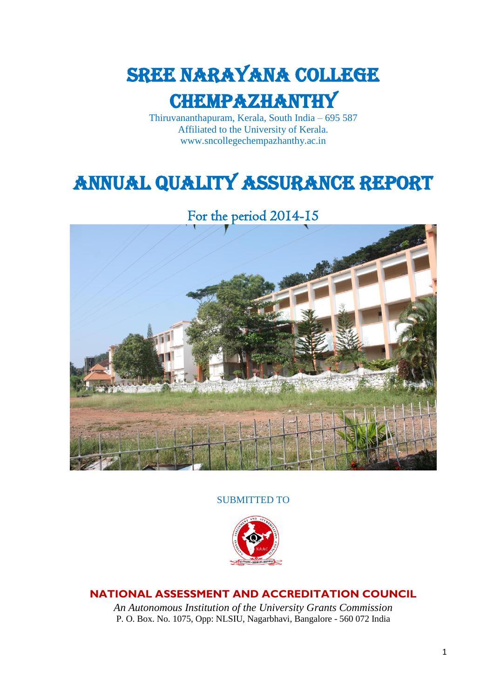

Thiruvananthapuram, Kerala, South India – 695 587 Affiliated to the University of Kerala. www.sncollegechempazhanthy.ac.in

# Annual Quality Assurance Report

For the period 2014-15



#### SUBMITTED TO



### **NATIONAL ASSESSMENT AND ACCREDITATION COUNCIL**

*An Autonomous Institution of the University Grants Commission* P. O. Box. No. 1075, Opp: NLSIU, Nagarbhavi, Bangalore - 560 072 India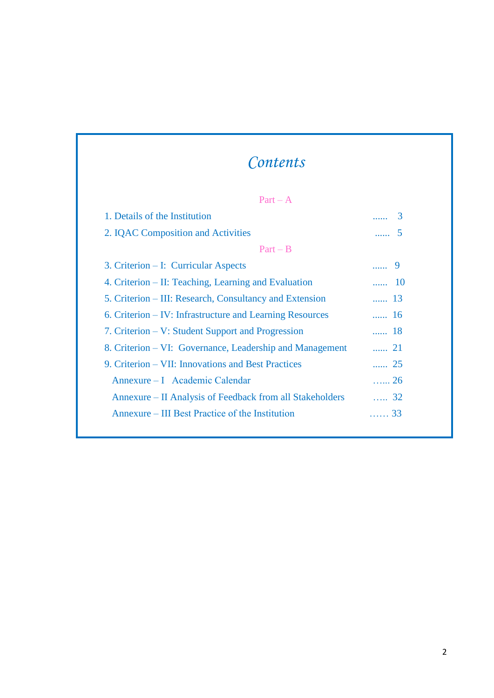# *Contents*

| $Part - A$                                               |                                           |
|----------------------------------------------------------|-------------------------------------------|
| 1. Details of the Institution                            | $\ldots$ 3                                |
| 2. IQAC Composition and Activities                       | $\overline{\mathbf{5}}$<br><b>Section</b> |
| $Part - B$                                               |                                           |
| 3. Criterion – I: Curricular Aspects                     |                                           |
| 4. Criterion – II: Teaching, Learning and Evaluation     | $\ldots$ 10                               |
| 5. Criterion – III: Research, Consultancy and Extension  | $\sim$ 13                                 |
| 6. Criterion – IV: Infrastructure and Learning Resources | $\ldots$ 16                               |
| 7. Criterion – V: Student Support and Progression        | 18                                        |
| 8. Criterion – VI: Governance, Leadership and Management | 21                                        |
| 9. Criterion – VII: Innovations and Best Practices       | $\cdots$ 25                               |
| Annexure – I Academic Calendar                           | $\ldots$ 26                               |
| Annexure – II Analysis of Feedback from all Stakeholders | 32                                        |
| Annexure – III Best Practice of the Institution          | . 33                                      |
|                                                          |                                           |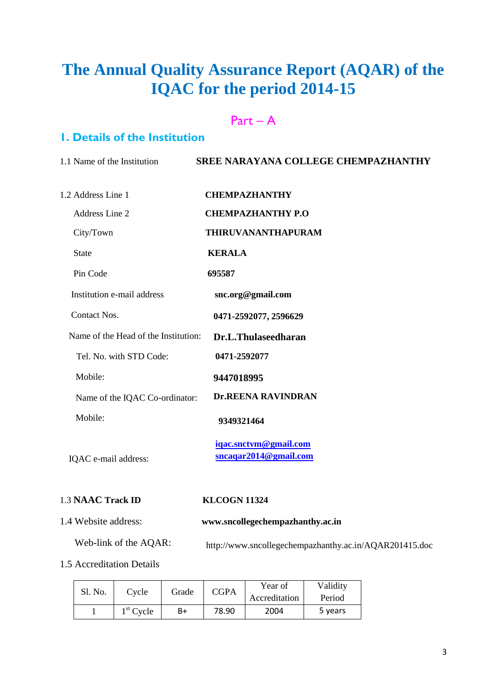# **The Annual Quality Assurance Report (AQAR) of the IQAC for the period 2014-15**

### Part – A

### **1. Details of the Institution**

| 1.1 Name of the Institution          | <b>SREE NARAYANA COLLEGE CHEMPAZHANTHY</b>     |
|--------------------------------------|------------------------------------------------|
| 1.2 Address Line 1                   | <b>CHEMPAZHANTHY</b>                           |
| Address Line 2                       | <b>CHEMPAZHANTHY P.O</b>                       |
| City/Town                            | <b>THIRUVANANTHAPURAM</b>                      |
| <b>State</b>                         | <b>KERALA</b>                                  |
| Pin Code                             | 695587                                         |
| Institution e-mail address           | snc.org@gmail.com                              |
| Contact Nos.                         | 0471-2592077, 2596629                          |
| Name of the Head of the Institution: | Dr.L.Thulaseedharan                            |
| Tel. No. with STD Code:              | 0471-2592077                                   |
| Mobile:                              | 9447018995                                     |
| Name of the IQAC Co-ordinator:       | <b>Dr.REENA RAVINDRAN</b>                      |
| Mobile:                              | 9349321464                                     |
| IQAC e-mail address:                 | iqac.snctvm@gmail.com<br>sncaqar2014@gmail.com |
| 1.3 NAAC Track ID                    | <b>KLCOGN 11324</b>                            |

### 1.4 Website address: **www.sncollegechempazhanthy.ac.in**

 Web-link of the AQAR: http://www.sncollegechempazhanthy.ac.in/AQAR201415.doc

1.5 Accreditation Details

|  | CGPA<br>Sl. No.<br>Grade<br>Cvcle | Year of | Validity |               |         |
|--|-----------------------------------|---------|----------|---------------|---------|
|  |                                   |         |          | Accreditation | Period  |
|  | $1st$ Cycle                       | B+      | 78.90    | 2004          | 5 years |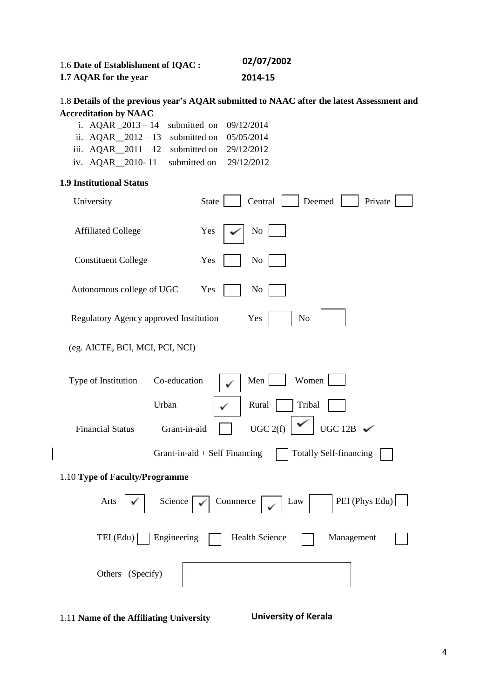| 1.6 Date of Establishment of IQAC : | 02/07/2002 |
|-------------------------------------|------------|
| 1.7 AQAR for the year               | 2014-15    |

#### 1.8 **Details of the previous year's AQAR submitted to NAAC after the latest Assessment and Accreditation by NAAC**

| i. AQAR $2013 - 14$ submitted on $09/12/2014$  |  |
|------------------------------------------------|--|
| ii. AQAR $2012 - 13$ submitted on $05/05/2014$ |  |
| iii. $AQAR$ 2011 – 12 submitted on 29/12/2012  |  |
| iv. AQAR $2010 - 11$ submitted on $29/12/2012$ |  |

#### **1.9 Institutional Status**

 $\overline{\phantom{a}}$ 

| University                                       | Central<br>Deemed<br>State<br>Private                                                                                   |
|--------------------------------------------------|-------------------------------------------------------------------------------------------------------------------------|
| <b>Affiliated College</b>                        | Yes<br>No                                                                                                               |
| <b>Constituent College</b>                       | Yes<br>N <sub>0</sub>                                                                                                   |
| Autonomous college of UGC                        | Yes<br>N <sub>0</sub>                                                                                                   |
| Regulatory Agency approved Institution           | Yes<br>N <sub>o</sub>                                                                                                   |
| (eg. AICTE, BCI, MCI, PCI, NCI)                  |                                                                                                                         |
| Type of Institution<br>Co-education              | Women<br>Men                                                                                                            |
| Urban<br><b>Financial Status</b><br>Grant-in-aid | Tribal<br>Rural<br>UGC 12B $\checkmark$<br>UGC 2(f)<br>Grant-in-aid $+$ Self Financing<br><b>Totally Self-financing</b> |
| 1.10 Type of Faculty/Programme                   |                                                                                                                         |
| Arts<br>Science                                  | PEI (Phys Edu)<br>Commerce<br>Law                                                                                       |
| Engineering<br>$TEI$ (Edu)                       | <b>Health Science</b><br>Management                                                                                     |
| Others (Specify)                                 |                                                                                                                         |
|                                                  |                                                                                                                         |

1.11 **Name of the Affiliating University**

 **University of Kerala**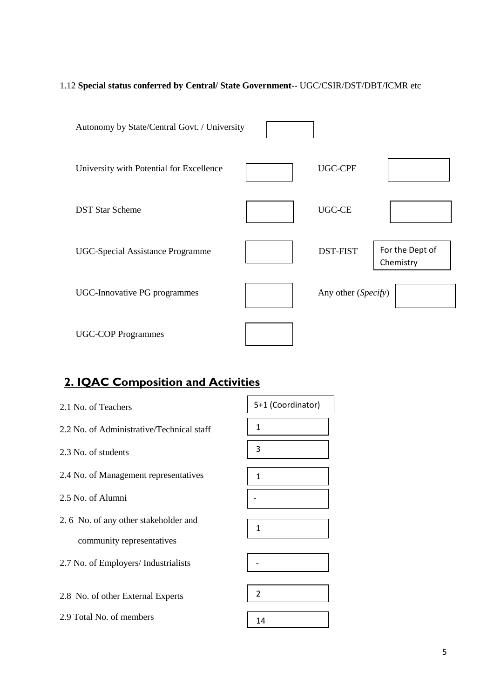### 1.12 **Special status conferred by Central/ State Government**-- UGC/CSIR/DST/DBT/ICMR etc

| Autonomy by State/Central Govt. / University |                     |                              |
|----------------------------------------------|---------------------|------------------------------|
| University with Potential for Excellence     | <b>UGC-CPE</b>      |                              |
| <b>DST Star Scheme</b>                       | <b>UGC-CE</b>       |                              |
| <b>UGC-Special Assistance Programme</b>      | <b>DST-FIST</b>     | For the Dept of<br>Chemistry |
| UGC-Innovative PG programmes                 | Any other (Specify) |                              |
| <b>UGC-COP Programmes</b>                    |                     |                              |

# **2. IQAC Composition and Activities**

| 2.1 No. of Teachers                       | 5+1 (Coordinator) |
|-------------------------------------------|-------------------|
| 2.2 No. of Administrative/Technical staff | 1                 |
| 2.3 No. of students                       | 3                 |
| 2.4 No. of Management representatives     | 1                 |
| 2.5 No. of Alumni                         |                   |
| 2.6 No. of any other stakeholder and      | $\mathbf{1}$      |
| community representatives                 |                   |
| 2.7 No. of Employers/ Industrialists      |                   |
|                                           |                   |
| 2.8 No. of other External Experts         | $\overline{2}$    |
| 2.9 Total No. of members                  | 14                |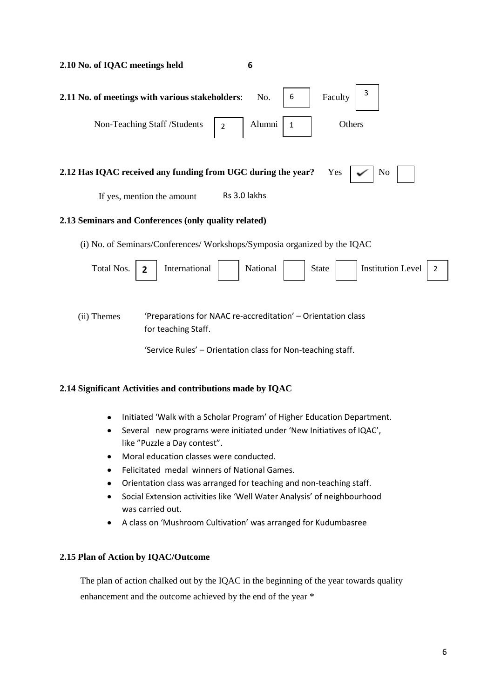| 2.10 No. of IQAC meetings held                                                             | 6                                                                                                                           |
|--------------------------------------------------------------------------------------------|-----------------------------------------------------------------------------------------------------------------------------|
| 2.11 No. of meetings with various stakeholders:                                            | 3<br>6<br>Faculty<br>No.                                                                                                    |
| Non-Teaching Staff /Students<br>$\overline{2}$                                             | Alumni<br>Others<br>1                                                                                                       |
| 2.12 Has IQAC received any funding from UGC during the year?<br>If yes, mention the amount | Yes<br>N <sub>0</sub><br>Rs 3.0 lakhs                                                                                       |
| 2.13 Seminars and Conferences (only quality related)                                       |                                                                                                                             |
| (i) No. of Seminars/Conferences/ Workshops/Symposia organized by the IQAC                  |                                                                                                                             |
| Total Nos.<br>International<br>$\overline{2}$                                              | <b>Institution Level</b><br>National<br>State<br>2                                                                          |
| (ii) Themes<br>for teaching Staff.                                                         | 'Preparations for NAAC re-accreditation' - Orientation class<br>'Service Rules' - Orientation class for Non-teaching staff. |
| 2.14 Significant Activities and contributions made by IQAC                                 |                                                                                                                             |

- Initiated 'Walk with a Scholar Program' of Higher Education Department.
- Several new programs were initiated under 'New Initiatives of IQAC', like "Puzzle a Day contest".
- Moral education classes were conducted.
- Felicitated medal winners of National Games.
- Orientation class was arranged for teaching and non-teaching staff.
- Social Extension activities like 'Well Water Analysis' of neighbourhood was carried out.
- A class on 'Mushroom Cultivation' was arranged for Kudumbasree

### **2.15 Plan of Action by IQAC/Outcome**

 The plan of action chalked out by the IQAC in the beginning of the year towards quality enhancement and the outcome achieved by the end of the year \*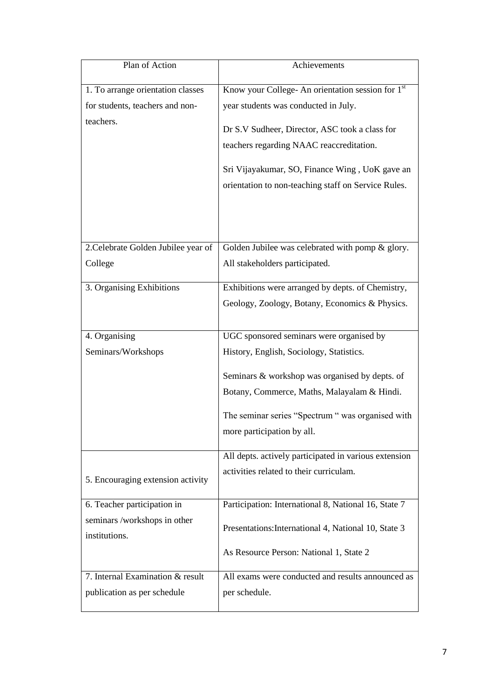| Plan of Action                      | Achievements                                          |
|-------------------------------------|-------------------------------------------------------|
| 1. To arrange orientation classes   | Know your College- An orientation session for 1st     |
| for students, teachers and non-     | year students was conducted in July.                  |
| teachers.                           |                                                       |
|                                     | Dr S.V Sudheer, Director, ASC took a class for        |
|                                     | teachers regarding NAAC reaccreditation.              |
|                                     | Sri Vijayakumar, SO, Finance Wing, UoK gave an        |
|                                     | orientation to non-teaching staff on Service Rules.   |
|                                     |                                                       |
|                                     |                                                       |
| 2. Celebrate Golden Jubilee year of | Golden Jubilee was celebrated with pomp & glory.      |
| College                             | All stakeholders participated.                        |
| 3. Organising Exhibitions           | Exhibitions were arranged by depts. of Chemistry,     |
|                                     | Geology, Zoology, Botany, Economics & Physics.        |
|                                     |                                                       |
| 4. Organising                       | UGC sponsored seminars were organised by              |
| Seminars/Workshops                  | History, English, Sociology, Statistics.              |
|                                     | Seminars & workshop was organised by depts. of        |
|                                     | Botany, Commerce, Maths, Malayalam & Hindi.           |
|                                     | The seminar series "Spectrum " was organised with     |
|                                     | more participation by all.                            |
|                                     | All depts. actively participated in various extension |
|                                     | activities related to their curriculam.               |
| 5. Encouraging extension activity   |                                                       |
| 6. Teacher participation in         | Participation: International 8, National 16, State 7  |
| seminars /workshops in other        | Presentations: International 4, National 10, State 3  |
| institutions.                       |                                                       |
|                                     | As Resource Person: National 1, State 2               |
| 7. Internal Examination & result    | All exams were conducted and results announced as     |
| publication as per schedule         | per schedule.                                         |
|                                     |                                                       |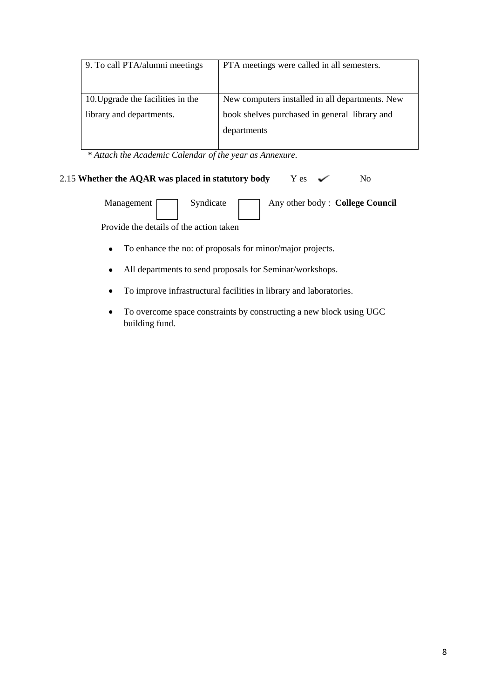| 9. To call PTA/alumni meetings                                | PTA meetings were called in all semesters.                                                                      |
|---------------------------------------------------------------|-----------------------------------------------------------------------------------------------------------------|
| 10. Upgrade the facilities in the<br>library and departments. | New computers installed in all departments. New<br>book shelves purchased in general library and<br>departments |

 *\* Attach the Academic Calendar of the year as Annexure.*

#### 2.15 **Whether the AQAR was placed in statutory body** Y es  $\checkmark$  No

Management Syndicate Any other body : **College Council** 

Provide the details of the action taken

- To enhance the no: of proposals for minor/major projects.  $\bullet$
- All departments to send proposals for Seminar/workshops.  $\bullet$
- To improve infrastructural facilities in library and laboratories.
- To overcome space constraints by constructing a new block using UGC  $\bullet$ building fund.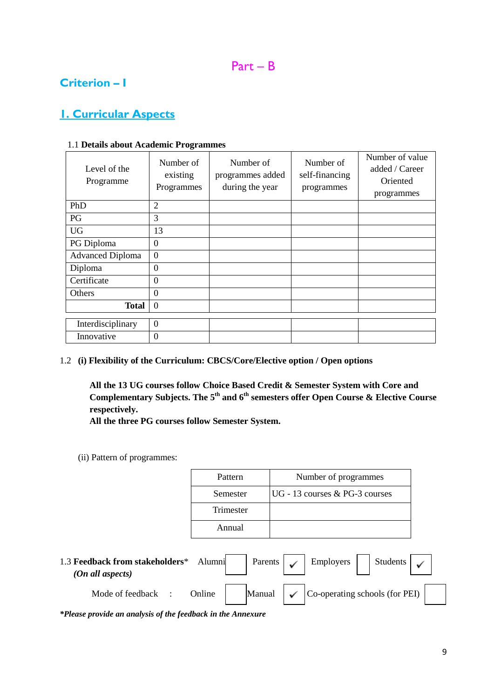### **Criterion – I**

### **1. Curricular Aspects**

| Level of the<br>Programme | Number of<br>existing<br>Programmes | Number of<br>programmes added<br>during the year | Number of<br>self-financing<br>programmes | Number of value<br>added / Career<br>Oriented<br>programmes |
|---------------------------|-------------------------------------|--------------------------------------------------|-------------------------------------------|-------------------------------------------------------------|
| PhD                       | $\overline{2}$                      |                                                  |                                           |                                                             |
| PG                        | 3                                   |                                                  |                                           |                                                             |
| <b>UG</b>                 | 13                                  |                                                  |                                           |                                                             |
| PG Diploma                | $\boldsymbol{0}$                    |                                                  |                                           |                                                             |
| <b>Advanced Diploma</b>   | $\overline{0}$                      |                                                  |                                           |                                                             |
| Diploma                   | $\mathbf{0}$                        |                                                  |                                           |                                                             |
| Certificate               | $\mathbf{0}$                        |                                                  |                                           |                                                             |
| Others                    | $\overline{0}$                      |                                                  |                                           |                                                             |
| <b>Total</b>              | $\overline{0}$                      |                                                  |                                           |                                                             |
| Interdisciplinary         | $\mathbf{0}$                        |                                                  |                                           |                                                             |
| Innovative                | $\overline{0}$                      |                                                  |                                           |                                                             |

#### 1.1 **Details about Academic Programmes**

#### 1.2 **(i) Flexibility of the Curriculum: CBCS/Core/Elective option / Open options**

**All the 13 UG courses follow Choice Based Credit & Semester System with Core and Complementary Subjects. The 5th and 6th semesters offer Open Course & Elective Course respectively.**

**All the three PG courses follow Semester System.**

(ii) Pattern of programmes:

| Pattern   | Number of programmes           |
|-----------|--------------------------------|
| Semester  | UG - 13 courses & PG-3 courses |
| Trimester |                                |
| Annual    |                                |
|           |                                |

| 1.3 Feedback from stakeholders*<br>(On all aspects) | Alumni | Parents ' | Employers                                      | Students |  |
|-----------------------------------------------------|--------|-----------|------------------------------------------------|----------|--|
| Mode of feedback                                    | Online | Manual    | $\vert$ Co-operating schools (for PEI) $\vert$ |          |  |

*\*Please provide an analysis of the feedback in the Annexure*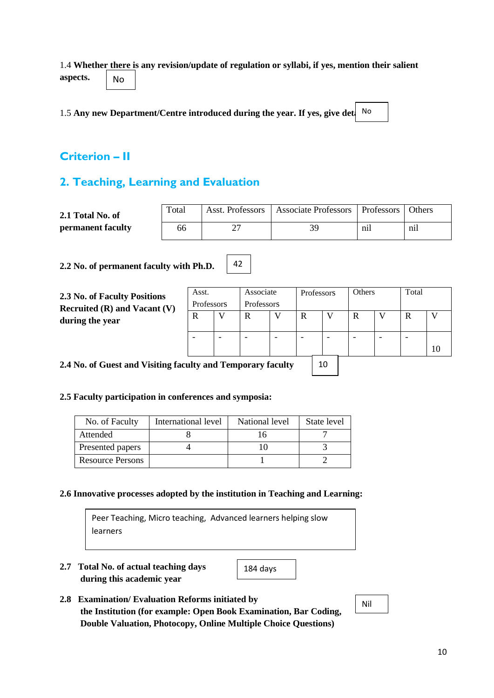1.4 **Whether there is any revision/update of regulation or syllabi, if yes, mention their salient aspects.** No

1.5 Any new Department/Centre introduced during the year. If yes, give det

### **Criterion – II**

### **2. Teaching, Learning and Evaluation**

| 2.1 Total No. of  | Total | Asst. Professors | Associate Professors   Professors |          | <b>Others</b> |
|-------------------|-------|------------------|-----------------------------------|----------|---------------|
| permanent faculty | 66    |                  | 30                                | $n_{11}$ | n11           |

42

**2.2 No. of permanent faculty with Ph.D.**

| 2.3 No. of Faculty Positions<br>Recruited $(R)$ and Vacant $(V)$<br>during the year | Associate<br>Asst.<br>Professors<br>Professors |          |   | Professors |                          | Others |   | Total |   |    |
|-------------------------------------------------------------------------------------|------------------------------------------------|----------|---|------------|--------------------------|--------|---|-------|---|----|
|                                                                                     | R                                              | $\bf{V}$ | R |            | R                        |        | R |       | R |    |
|                                                                                     |                                                | -        | - | -          | $\overline{\phantom{0}}$ | -      | - | -     |   | 10 |

10

**2.4 No. of Guest and Visiting faculty and Temporary faculty** 

#### **2.5 Faculty participation in conferences and symposia:**

| No. of Faculty          | International level | National level | State level |
|-------------------------|---------------------|----------------|-------------|
| Attended                |                     |                |             |
| Presented papers        |                     |                |             |
| <b>Resource Persons</b> |                     |                |             |

#### **2.6 Innovative processes adopted by the institution in Teaching and Learning:**

Peer Teaching, Micro teaching, Advanced learners helping slow learners

**2.7 Total No. of actual teaching days during this academic year**

184 days

**2.8 Examination/ Evaluation Reforms initiated by the Institution (for example: Open Book Examination, Bar Coding, Double Valuation, Photocopy, Online Multiple Choice Questions)**

Nil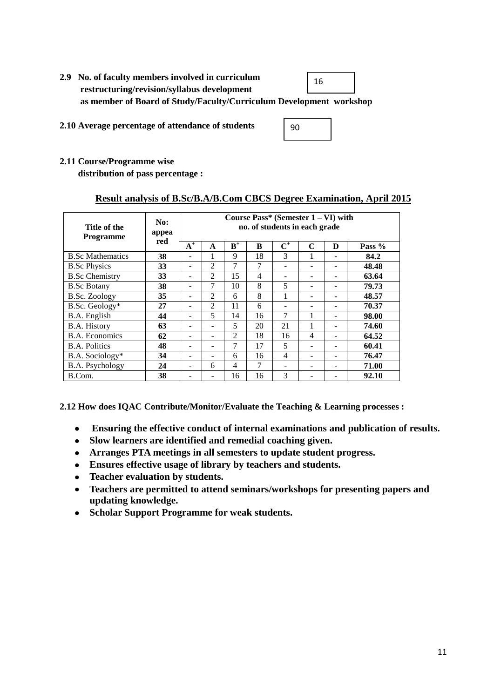- **2.9 No. of faculty members involved in curriculum restructuring/revision/syllabus development as member of Board of Study/Faculty/Curriculum Development workshop** 16
- **2.10 Average percentage of attendance of students**

|--|

**2.11 Course/Programme wise**

 **distribution of pass percentage :** 

#### **Result analysis of B.Sc/B.A/B.Com CBCS Degree Examination, April 2015**

| Title of the<br><b>Programme</b> | No:<br>appea | Course Pass* (Semester $1 - VI$ ) with<br>no. of students in each grade |                |       |                |                |   |   |          |
|----------------------------------|--------------|-------------------------------------------------------------------------|----------------|-------|----------------|----------------|---|---|----------|
|                                  | red          | $A^+$                                                                   | A              | $B^+$ | B              | $\mathbf{C}^+$ | C | D | Pass $%$ |
| <b>B.Sc Mathematics</b>          | 38           |                                                                         |                | 9     | 18             | 3              |   |   | 84.2     |
| <b>B.Sc Physics</b>              | 33           | -                                                                       | $\mathfrak{D}$ | 7     | 7              | -              |   |   | 48.48    |
| <b>B.Sc Chemistry</b>            | 33           | ۰                                                                       | $\overline{2}$ | 15    | $\overline{4}$ | -              |   |   | 63.64    |
| <b>B.Sc Botany</b>               | 38           | ۰                                                                       | 7              | 10    | 8              | 5              |   |   | 79.73    |
| B.Sc. Zoology                    | 35           | -                                                                       | $\mathfrak{D}$ | 6     | 8              | 1              |   |   | 48.57    |
| B.Sc. Geology*                   | 27           |                                                                         | 2              | 11    | 6              |                |   |   | 70.37    |
| B.A. English                     | 44           |                                                                         | 5              | 14    | 16             | 7              |   |   | 98.00    |
| <b>B.A. History</b>              | 63           |                                                                         |                | 5     | 20             | 21             |   |   | 74.60    |
| <b>B.A.</b> Economics            | 62           | -                                                                       | -              | 2     | 18             | 16             | 4 |   | 64.52    |
| <b>B.A. Politics</b>             | 48           |                                                                         |                | 7     | 17             | 5              |   |   | 60.41    |
| B.A. Sociology*                  | 34           |                                                                         |                | 6     | 16             | 4              |   |   | 76.47    |
| B.A. Psychology                  | 24           |                                                                         | 6              | 4     | 7              | -              |   |   | 71.00    |
| B.Com.                           | 38           |                                                                         |                | 16    | 16             | 3              |   |   | 92.10    |

**2.12 How does IQAC Contribute/Monitor/Evaluate the Teaching & Learning processes :** 

- **Ensuring the effective conduct of internal examinations and publication of results.**  $\bullet$
- **Slow learners are identified and remedial coaching given.**
- **Arranges PTA meetings in all semesters to update student progress.**
- **Ensures effective usage of library by teachers and students.**
- **Teacher evaluation by students.**  $\bullet$
- **Teachers are permitted to attend seminars/workshops for presenting papers and updating knowledge.**
- **Scholar Support Programme for weak students.**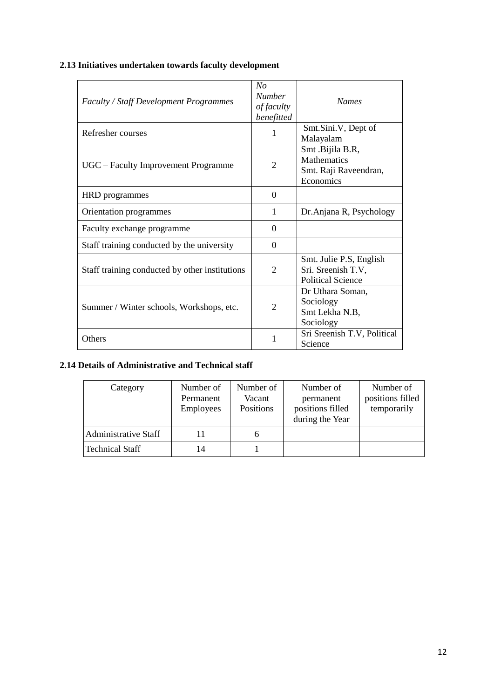### **2.13 Initiatives undertaken towards faculty development**

| <b>Faculty / Staff Development Programmes</b>  | No<br><b>Number</b><br>of faculty<br>benefitted | <b>Names</b>                                                                 |
|------------------------------------------------|-------------------------------------------------|------------------------------------------------------------------------------|
| Refresher courses                              | 1                                               | Smt.Sini.V, Dept of<br>Malayalam                                             |
| UGC – Faculty Improvement Programme            | $\mathcal{D}_{\mathcal{L}}$                     | Smt .Bijila B.R,<br><b>Mathematics</b><br>Smt. Raji Raveendran,<br>Economics |
| <b>HRD</b> programmes                          | $\Omega$                                        |                                                                              |
| Orientation programmes                         | 1                                               | Dr.Anjana R, Psychology                                                      |
| Faculty exchange programme                     | $\theta$                                        |                                                                              |
| Staff training conducted by the university     | $\Omega$                                        |                                                                              |
| Staff training conducted by other institutions | $\overline{2}$                                  | Smt. Julie P.S, English<br>Sri. Sreenish T.V,<br><b>Political Science</b>    |
| Summer / Winter schools, Workshops, etc.       | $\overline{2}$                                  | Dr Uthara Soman,<br>Sociology<br>Smt Lekha N.B,<br>Sociology                 |
| <b>Others</b>                                  | 1                                               | Sri Sreenish T.V, Political<br>Science                                       |

#### **2.14 Details of Administrative and Technical staff**

| Category               | Number of<br>Permanent<br><b>Employees</b> | Number of<br>Vacant<br><b>Positions</b> | Number of<br>permanent<br>positions filled<br>during the Year | Number of<br>positions filled<br>temporarily |
|------------------------|--------------------------------------------|-----------------------------------------|---------------------------------------------------------------|----------------------------------------------|
| Administrative Staff   |                                            | n                                       |                                                               |                                              |
| <b>Technical Staff</b> | 14                                         |                                         |                                                               |                                              |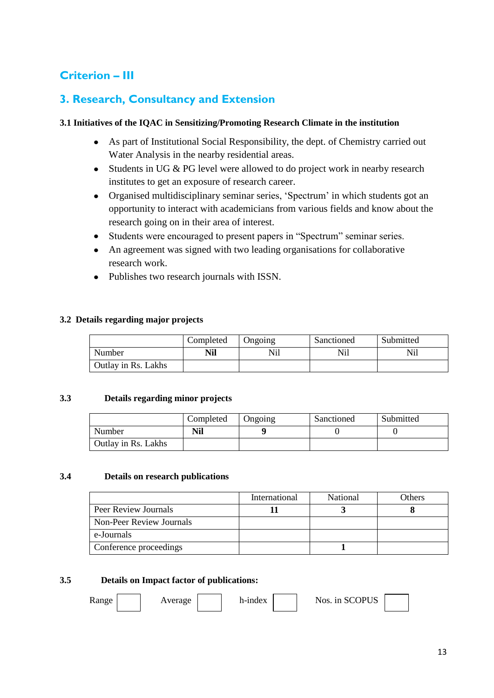### **Criterion – III**

### **3. Research, Consultancy and Extension**

#### **3.1 Initiatives of the IQAC in Sensitizing/Promoting Research Climate in the institution**

- As part of Institutional Social Responsibility, the dept. of Chemistry carried out  $\bullet$ Water Analysis in the nearby residential areas.
- Students in UG & PG level were allowed to do project work in nearby research institutes to get an exposure of research career.
- Organised multidisciplinary seminar series, 'Spectrum' in which students got an opportunity to interact with academicians from various fields and know about the research going on in their area of interest.
- Students were encouraged to present papers in "Spectrum" seminar series.  $\bullet$
- An agreement was signed with two leading organisations for collaborative research work.
- Publishes two research journals with ISSN.

#### **3.2 Details regarding major projects**

|                     | Completed | Ongoing | Sanctioned | Submitted |
|---------------------|-----------|---------|------------|-----------|
| Number              | Nil       | Nil     | Nil        | Nil       |
| Outlay in Rs. Lakhs |           |         |            |           |

#### **3.3 Details regarding minor projects**

|                     | Completed | Ongoing | Sanctioned | Submitted |
|---------------------|-----------|---------|------------|-----------|
| Number              | Nil       |         |            |           |
| Outlay in Rs. Lakhs |           |         |            |           |

#### **3.4 Details on research publications**

|                          | International | National | Others |
|--------------------------|---------------|----------|--------|
| Peer Review Journals     |               |          |        |
| Non-Peer Review Journals |               |          |        |
| e-Journals               |               |          |        |
| Conference proceedings   |               |          |        |

#### **3.5 Details on Impact factor of publications:**

Range | Average | h-index | Nos. in SCOPUS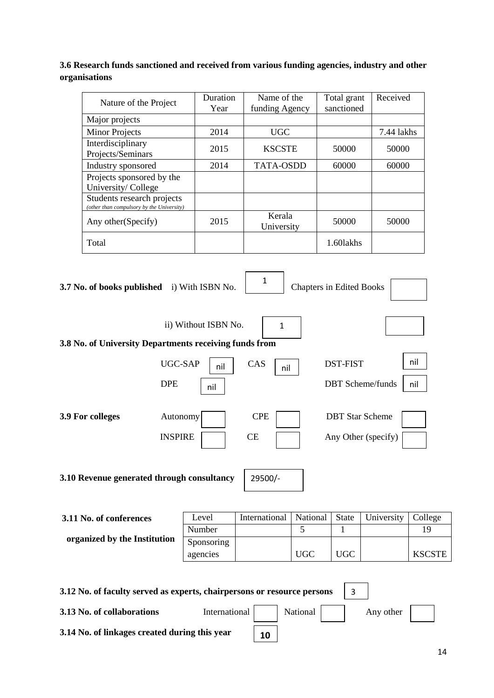#### **3.6 Research funds sanctioned and received from various funding agencies, industry and other organisations**

| Nature of the Project                                                   | Duration<br>Year | Name of the<br>funding Agency | Total grant<br>sanctioned | Received   |
|-------------------------------------------------------------------------|------------------|-------------------------------|---------------------------|------------|
| Major projects                                                          |                  |                               |                           |            |
| <b>Minor Projects</b>                                                   | 2014             | <b>UGC</b>                    |                           | 7.44 lakhs |
| Interdisciplinary<br>Projects/Seminars                                  | 2015             | <b>KSCSTE</b>                 | 50000                     | 50000      |
| Industry sponsored                                                      | 2014             | <b>TATA-OSDD</b>              | 60000                     | 60000      |
| Projects sponsored by the<br>University/College                         |                  |                               |                           |            |
| Students research projects<br>(other than compulsory by the University) |                  |                               |                           |            |
| Any other (Specify)                                                     | 2015             | Kerala<br>University          | 50000                     | 50000      |
| Total                                                                   |                  |                               | 1.601akhs                 |            |

| 3.7 No. of books published i) With ISBN No.            |                        | $\mathbf{1}$     | <b>Chapters in Edited Books</b> |                 |                                               |               |
|--------------------------------------------------------|------------------------|------------------|---------------------------------|-----------------|-----------------------------------------------|---------------|
| 3.8 No. of University Departments receiving funds from | ii) Without ISBN No.   | $\mathbf{1}$     |                                 |                 |                                               |               |
| UGC-SAP<br><b>DPE</b>                                  | nil<br>nil             | CAS<br>nil       |                                 | <b>DST-FIST</b> | <b>DBT</b> Scheme/funds                       | nil<br>nil    |
| 3.9 For colleges<br>Autonomy<br><b>INSPIRE</b>         |                        | <b>CPE</b><br>CE |                                 |                 | <b>DBT</b> Star Scheme<br>Any Other (specify) |               |
| 3.10 Revenue generated through consultancy<br>29500/-  |                        |                  |                                 |                 |                                               |               |
| 3.11 No. of conferences                                | Level                  | International    | National                        | <b>State</b>    | University                                    | College       |
|                                                        | Number                 |                  | 5                               | 1               |                                               | 19            |
| organized by the Institution                           | Sponsoring<br>agencies |                  | <b>UGC</b>                      | <b>UGC</b>      |                                               | <b>KSCSTE</b> |

| 3.12 No. of faculty served as experts, chairpersons or resource persons |               |    |          |           |  |
|-------------------------------------------------------------------------|---------------|----|----------|-----------|--|
| 3.13 No. of collaborations                                              | International |    | National | Any other |  |
| 3.14 No. of linkages created during this year                           |               | 10 |          |           |  |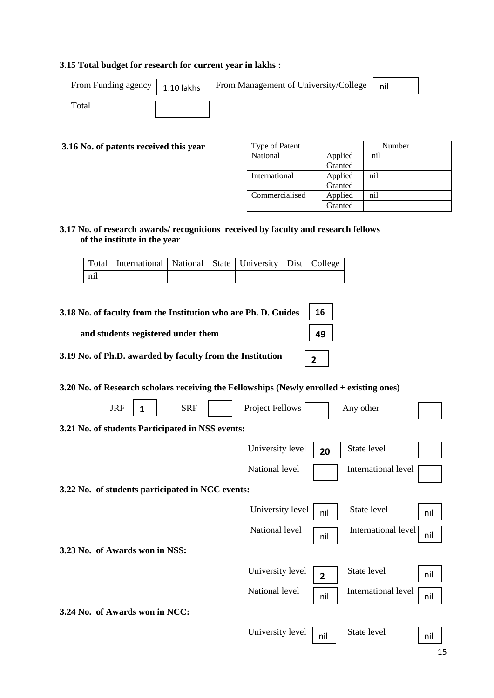#### **3.15 Total budget for research for current year in lakhs :**

| From Funding agency $\vert$ 1.10 lak |  |
|--------------------------------------|--|
|--------------------------------------|--|

From Funding agency  $\begin{bmatrix} 1.10 \text{ lakhs} \end{bmatrix}$  From Management of University/College  $\begin{bmatrix} \text{nil} \end{bmatrix}$ 



Total

**3.16 No. of patents received this year**

| Type of Patent |         | Number |
|----------------|---------|--------|
| National       | Applied | nil    |
|                | Granted |        |
| International  | Applied | nil    |
|                | Granted |        |
| Commercialised | Applied | ni1    |
|                | Granted |        |

**49**

**2**

**3.17 No. of research awards/ recognitions received by faculty and research fellows of the institute in the year**

|     | Total   International   National   State   University   Dist   College |  |  |  |
|-----|------------------------------------------------------------------------|--|--|--|
| nil |                                                                        |  |  |  |

**3.18 No. of faculty from the Institution who are Ph. D. Guides 16**

 **and students registered under them**

**3.19 No. of Ph.D. awarded by faculty from the Institution** 

**3.20 No. of Research scholars receiving the Fellowships (Newly enrolled + existing ones)**

| <b>JRF</b><br><b>SRF</b><br>1                    | Project Fellows                    | Any other                  |
|--------------------------------------------------|------------------------------------|----------------------------|
| 3.21 No. of students Participated in NSS events: |                                    |                            |
|                                                  | University level<br>20             | State level                |
|                                                  | National level                     | International level        |
| 3.22 No. of students participated in NCC events: |                                    |                            |
|                                                  | University level<br>nil            | State level<br>nil         |
|                                                  | National level<br>nil              | International level<br>nil |
| 3.23 No. of Awards won in NSS:                   |                                    |                            |
|                                                  | University level<br>$\overline{2}$ | State level<br>nil         |
|                                                  | National level<br>nil              | International level<br>nil |
| 3.24 No. of Awards won in NCC:                   |                                    |                            |
|                                                  | University level<br>nil            | State level<br>nil         |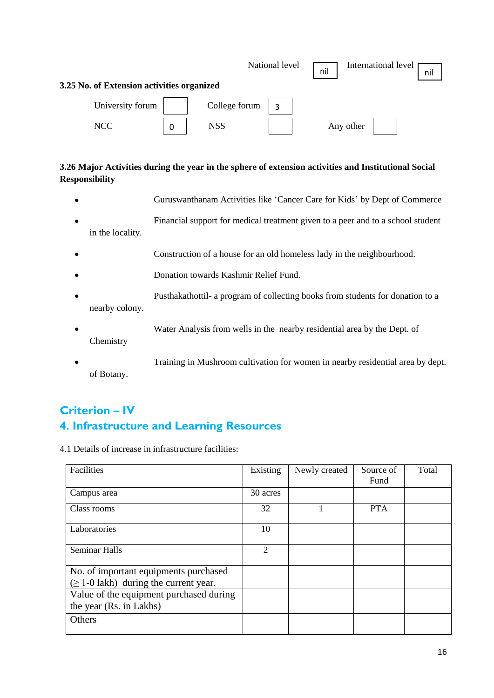|                                            |               | National level | nil |           | International level | nil |
|--------------------------------------------|---------------|----------------|-----|-----------|---------------------|-----|
| 3.25 No. of Extension activities organized |               |                |     |           |                     |     |
| University forum                           | College forum | 3              |     |           |                     |     |
| <b>NCC</b>                                 | <b>NSS</b>    |                |     | Any other |                     |     |

#### **3.26 Major Activities during the year in the sphere of extension activities and Institutional Social Responsibility**

- Guruswanthanam Activities like "Cancer Care for Kids" by Dept of Commerce
- Financial support for medical treatment given to a peer and to a school student in the locality.
- Construction of a house for an old homeless lady in the neighbourhood.  $\bullet$
- Donation towards Kashmir Relief Fund.
- Pusthakathottil- a program of collecting books from students for donation to a nearby colony.
- Water Analysis from wells in the nearby residential area by the Dept. of Chemistry
- Training in Mushroom cultivation for women in nearby residential area by dept.  $\bullet$ of Botany.

### **Criterion – IV 4. Infrastructure and Learning Resources**

4.1 Details of increase in infrastructure facilities:

| Facilities                                                                           | Existing       | Newly created | Source of<br>Fund | Total |
|--------------------------------------------------------------------------------------|----------------|---------------|-------------------|-------|
| Campus area                                                                          | 30 acres       |               |                   |       |
| Class rooms                                                                          | 32             |               | <b>PTA</b>        |       |
| Laboratories                                                                         | 10             |               |                   |       |
| <b>Seminar Halls</b>                                                                 | $\mathfrak{2}$ |               |                   |       |
| No. of important equipments purchased<br>$(\geq 1$ -0 lakh) during the current year. |                |               |                   |       |
| Value of the equipment purchased during<br>the year (Rs. in Lakhs)                   |                |               |                   |       |
| Others                                                                               |                |               |                   |       |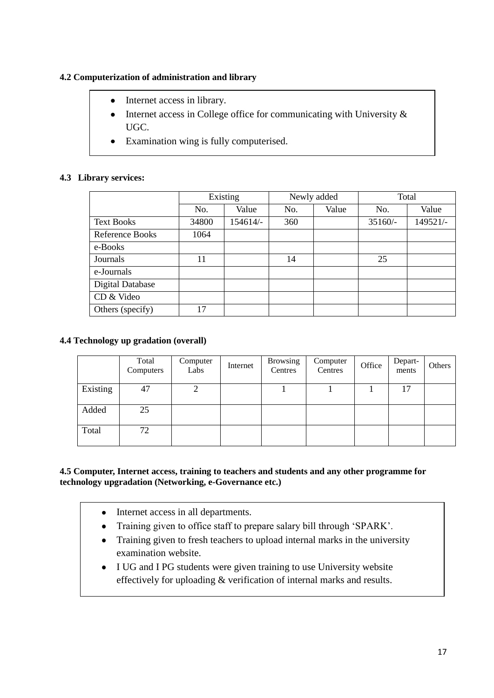#### **4.2 Computerization of administration and library**

- Internet access in library.  $\bullet$
- Internet access in College office for communicating with University &  $\bullet$ UGC.
- Examination wing is fully computerised.

#### **4.3 Library services:**

|                         | Existing |          | Newly added |       | Total     |          |
|-------------------------|----------|----------|-------------|-------|-----------|----------|
|                         | No.      | Value    | No.         | Value | No.       | Value    |
| <b>Text Books</b>       | 34800    | 154614/- | 360         |       | $35160/-$ | 149521/- |
| <b>Reference Books</b>  | 1064     |          |             |       |           |          |
| e-Books                 |          |          |             |       |           |          |
| Journals                | 11       |          | 14          |       | 25        |          |
| e-Journals              |          |          |             |       |           |          |
| <b>Digital Database</b> |          |          |             |       |           |          |
| CD & Video              |          |          |             |       |           |          |
| Others (specify)        | 17       |          |             |       |           |          |

#### **4.4 Technology up gradation (overall)**

|          | Total<br>Computers | Computer<br>Labs | Internet | <b>Browsing</b><br>Centres | Computer<br>Centres | Office | Depart-<br>ments | Others |
|----------|--------------------|------------------|----------|----------------------------|---------------------|--------|------------------|--------|
| Existing | 47                 |                  |          |                            |                     |        | 17               |        |
| Added    | 25                 |                  |          |                            |                     |        |                  |        |
| Total    | 72                 |                  |          |                            |                     |        |                  |        |

#### **4.5 Computer, Internet access, training to teachers and students and any other programme for technology upgradation (Networking, e-Governance etc.)**

- Internet access in all departments.  $\bullet$
- $\bullet$ Training given to office staff to prepare salary bill through "SPARK".
- Training given to fresh teachers to upload internal marks in the university  $\bullet$ examination website.
- I UG and I PG students were given training to use University website effectively for uploading & verification of internal marks and results.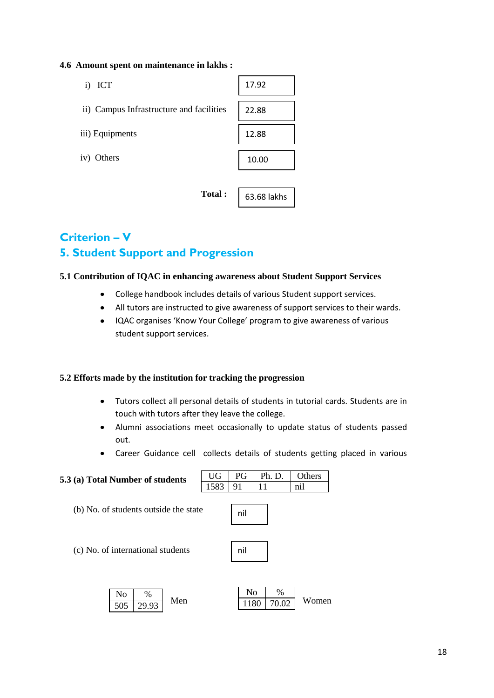#### **4.6 Amount spent on maintenance in lakhs :**

| i) ICT                                   | 17.92       |
|------------------------------------------|-------------|
| ii) Campus Infrastructure and facilities | 22.88       |
| iii) Equipments                          | 12.88       |
| iv) Others                               | 10.00       |
|                                          |             |
| Total:                                   | 63.68 lakhs |

**Total :** 

## **Criterion – V 5. Student Support and Progression**

#### **5.1 Contribution of IQAC in enhancing awareness about Student Support Services**

- College handbook includes details of various Student support services.  $\bullet$
- All tutors are instructed to give awareness of support services to their wards.  $\bullet$
- IQAC organises 'Know Your College' program to give awareness of various student support services.

#### **5.2 Efforts made by the institution for tracking the progression**

- Tutors collect all personal details of students in tutorial cards. Students are in  $\bullet$ touch with tutors after they leave the college.
- Alumni associations meet occasionally to update status of students passed  $\bullet$ out.
- Career Guidance cell collects details of students getting placed in various

1180 70.02

### **5.3 (a) Total Number of students** (b) No. of students outside the state (c) No. of international students  $\frac{100}{505}$  20.02 Men 1180 70.02 Women UG | PG | Ph. D. | Others 1583 91 11 nil  $\overline{\mathrm{No}}$  %  $\text{No}$  % nil nil

505 29.93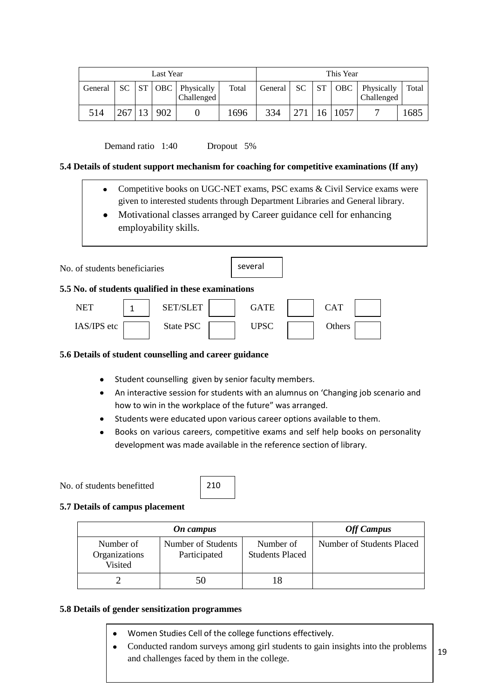| Last Year |     |    |     | This Year                                    |       |         |      |  |          |                          |       |
|-----------|-----|----|-----|----------------------------------------------|-------|---------|------|--|----------|--------------------------|-------|
| General   |     |    |     | $SC$   $ST$   OBC   Physically<br>Challenged | Total | General | - SC |  | $ST$ OBC | Physically<br>Challenged | Total |
| 514       | 267 | 13 | 902 |                                              | 1696  | 334     | 271  |  | 16 1057  |                          | 1685  |

Demand ratio 1:40 Dropout 5%

#### **5.4 Details of student support mechanism for coaching for competitive examinations (If any)**

- Competitive books on UGC-NET exams, PSC exams & Civil Service exams were  $\bullet$ given to interested students through Department Libraries and General library.
- Motivational classes arranged by Career guidance cell for enhancing employability skills.

| No. of students beneficiaries                 | several |
|-----------------------------------------------|---------|
| $\mathbf{r}$ $\mathbf{r}$<br>$1000 - 10 = 11$ |         |

#### **5.5 No. of students qualified in these examinations**

| <b>NET</b>  | <b>SET/SLET</b> | GATE | CAT    |  |
|-------------|-----------------|------|--------|--|
| IAS/IPS etc | State PSC       | UPSC | Others |  |

#### **5.6 Details of student counselling and career guidance**

- Student counselling given by senior faculty members.
- An interactive session for students with an alumnus on 'Changing job scenario and how to win in the workplace of the future" was arranged.
- Students were educated upon various career options available to them.
- Books on various careers, competitive exams and self help books on personality development was made available in the reference section of library.

#### No. of students benefitted



#### **5.7 Details of campus placement**

|                                       | <b>Off Campus</b>                  |                                     |                           |
|---------------------------------------|------------------------------------|-------------------------------------|---------------------------|
| Number of<br>Organizations<br>Visited | Number of Students<br>Participated | Number of<br><b>Students Placed</b> | Number of Students Placed |
|                                       | 50                                 |                                     |                           |

#### **5.8 Details of gender sensitization programmes**

- Women Studies Cell of the college functions effectively.
- $\bullet$ Conducted random surveys among girl students to gain insights into the problems 19 and challenges faced by them in the college.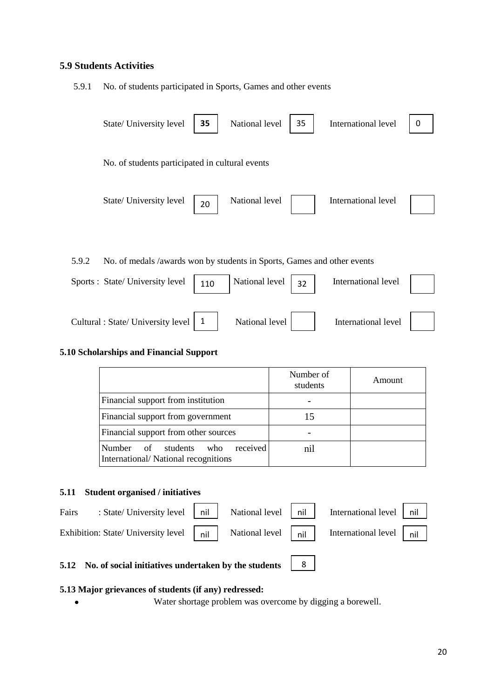#### **5.9 Students Activities**

5.9.1 No. of students participated in Sports, Games and other events

|       | State/ University level                                                 | 35           | National level | 35 | International level | 0 |
|-------|-------------------------------------------------------------------------|--------------|----------------|----|---------------------|---|
|       | No. of students participated in cultural events                         |              |                |    |                     |   |
|       | State/ University level                                                 | 20           | National level |    | International level |   |
| 5.9.2 | No. of medals /awards won by students in Sports, Games and other events |              |                |    |                     |   |
|       | Sports : State/ University level                                        | 110          | National level | 32 | International level |   |
|       | Cultural : State/ University level                                      | $\mathbf{1}$ | National level |    | International level |   |

#### **5.10 Scholarships and Financial Support**

|                                                                                        | Number of<br>students | Amount |
|----------------------------------------------------------------------------------------|-----------------------|--------|
| Financial support from institution                                                     |                       |        |
| Financial support from government                                                      | 15                    |        |
| Financial support from other sources                                                   |                       |        |
| received<br><b>Number</b><br>of students<br>who<br>International/National recognitions | nil                   |        |

#### **5.11 Student organised / initiatives**

 $\bullet$ 

|       | 5.12 No. of social initiatives undertaken by the students 3                                                                                                                                                         |  |                                 |  |
|-------|---------------------------------------------------------------------------------------------------------------------------------------------------------------------------------------------------------------------|--|---------------------------------|--|
|       | Exhibition: State/ University level $\begin{vmatrix} 1 & 1 \\ 0 & 1 \end{vmatrix}$ National level $\begin{vmatrix} 1 & 1 \\ 0 & 1 \end{vmatrix}$ International level $\begin{vmatrix} 1 & 1 \\ 0 & 1 \end{vmatrix}$ |  |                                 |  |
| Fairs | : State/ University level $\begin{vmatrix} \n\end{vmatrix}$ nil $\begin{vmatrix} \n\end{vmatrix}$ National level $\begin{vmatrix} \n\end{vmatrix}$ nil                                                              |  | International level $\vert$ nil |  |

# **5.13 Major grievances of students (if any) redressed:**

Water shortage problem was overcome by digging a borewell.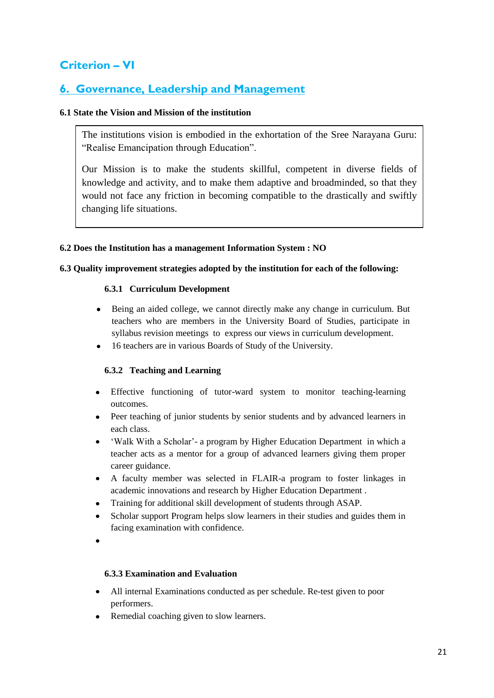### **Criterion – VI**

### **6. Governance, Leadership and Management**

#### **6.1 State the Vision and Mission of the institution**

The institutions vision is embodied in the exhortation of the Sree Narayana Guru: "Realise Emancipation through Education".

Our Mission is to make the students skillful, competent in diverse fields of knowledge and activity, and to make them adaptive and broadminded, so that they would not face any friction in becoming compatible to the drastically and swiftly changing life situations.

#### **6.2 Does the Institution has a management Information System : NO**

#### **6.3 Quality improvement strategies adopted by the institution for each of the following:**

#### **6.3.1 Curriculum Development**

- Being an aided college, we cannot directly make any change in curriculum. But teachers who are members in the University Board of Studies, participate in syllabus revision meetings to express our views in curriculum development.
- 16 teachers are in various Boards of Study of the University.

#### **6.3.2 Teaching and Learning**

- Effective functioning of tutor-ward system to monitor teaching-learning outcomes.
- Peer teaching of junior students by senior students and by advanced learners in each class.
- 'Walk With a Scholar'- a program by Higher Education Department in which a teacher acts as a mentor for a group of advanced learners giving them proper career guidance.
- A faculty member was selected in FLAIR-a program to foster linkages in academic innovations and research by Higher Education Department .
- Training for additional skill development of students through ASAP.
- facing examination with confidence. Scholar support Program helps slow learners in their studies and guides them in
- 

#### **6.3.3 Examination and Evaluation**

- All internal Examinations conducted as per schedule. Re-test given to poor  $\bullet$ performers.
- Remedial coaching given to slow learners.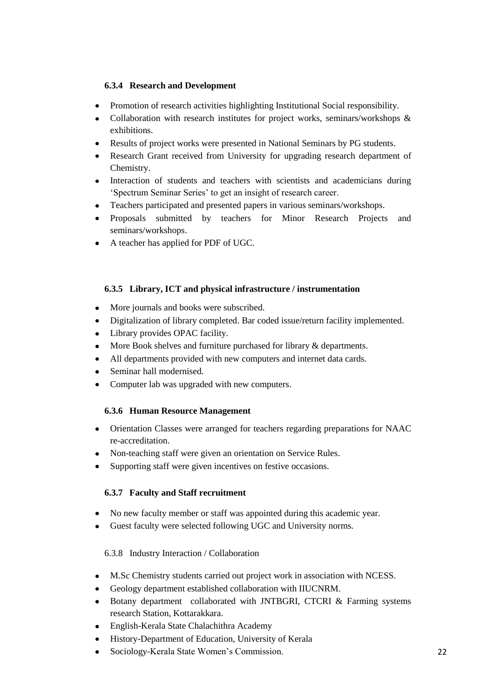#### **6.3.4 Research and Development**

- Promotion of research activities highlighting Institutional Social responsibility.  $\bullet$
- Collaboration with research institutes for project works, seminars/workshops & exhibitions.
- Results of project works were presented in National Seminars by PG students.
- Research Grant received from University for upgrading research department of Chemistry.
- $\bullet$ Interaction of students and teachers with scientists and academicians during "Spectrum Seminar Series" to get an insight of research career.
- Teachers participated and presented papers in various seminars/workshops.
- Proposals submitted by teachers for Minor Research Projects and seminars/workshops.
- A teacher has applied for PDF of UGC.

#### **6.3.5 Library, ICT and physical infrastructure / instrumentation**

- More journals and books were subscribed.
- Digitalization of library completed. Bar coded issue/return facility implemented.
- Library provides OPAC facility.
- More Book shelves and furniture purchased for library  $\&$  departments.
- All departments provided with new computers and internet data cards.
- Seminar hall modernised.
- Computer lab was upgraded with new computers.

#### **6.3.6 Human Resource Management**

- Orientation Classes were arranged for teachers regarding preparations for NAAC re-accreditation.
- Non-teaching staff were given an orientation on Service Rules.
- Supporting staff were given incentives on festive occasions.

#### **6.3.7 Faculty and Staff recruitment**

- No new faculty member or staff was appointed during this academic year.
- Guest faculty were selected following UGC and University norms.

#### 6.3.8 Industry Interaction / Collaboration

- M.Sc Chemistry students carried out project work in association with NCESS.
- Geology department established collaboration with IIUCNRM.
- Botany department collaborated with JNTBGRI, CTCRI & Farming systems research Station, Kottarakkara.
- English-Kerala State Chalachithra Academy
- History-Department of Education, University of Kerala
- Sociology-Kerala State Women"s Commission.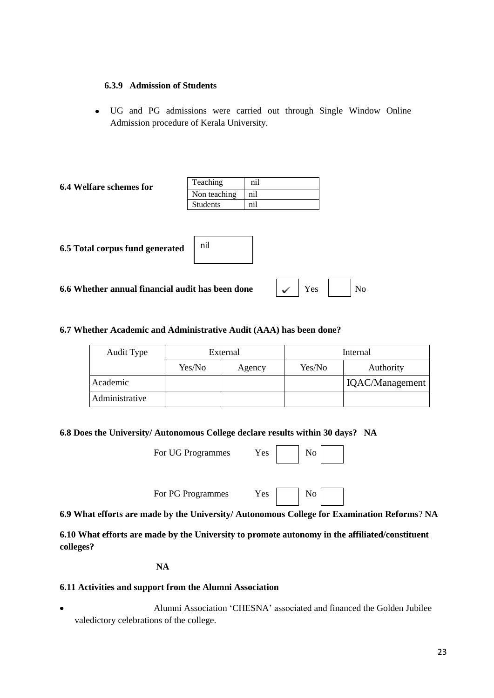#### **6.3.9 Admission of Students**

UG and PG admissions were carried out through Single Window Online Admission procedure of Kerala University.

| <b>6.4 Welfare schemes for</b> | Teaching        | n <sub>1</sub> |
|--------------------------------|-----------------|----------------|
|                                | Non teaching    | nıl            |
|                                | <b>Students</b> | $n_{1}$        |

**6.5 Total corpus fund generated**

| nil |  |  |
|-----|--|--|
|     |  |  |

**6.6 Whether annual financial audit has been done** 

| No.<br>re <sub>s</sub> |  |
|------------------------|--|
|------------------------|--|

#### **6.7 Whether Academic and Administrative Audit (AAA) has been done?**

| Audit Type     |        | External | Internal |                 |  |
|----------------|--------|----------|----------|-----------------|--|
|                | Yes/No | Agency   | Yes/No   | Authority       |  |
| Academic       |        |          |          | IQAC/Management |  |
| Administrative |        |          |          |                 |  |

**6.8 Does the University/ Autonomous College declare results within 30 days? NA**

| For UG Programmes | Yes. |  | $\overline{\phantom{a}}$ No |
|-------------------|------|--|-----------------------------|
|-------------------|------|--|-----------------------------|

| Nο |  |
|----|--|
|    |  |

For PG Programmes Yes No

**6.9 What efforts are made by the University/ Autonomous College for Examination Reforms**? **NA**

**6.10 What efforts are made by the University to promote autonomy in the affiliated/constituent colleges?**

**NA**

#### **6.11 Activities and support from the Alumni Association**

Alumni Association "CHESNA" associated and financed the Golden Jubilee valedictory celebrations of the college.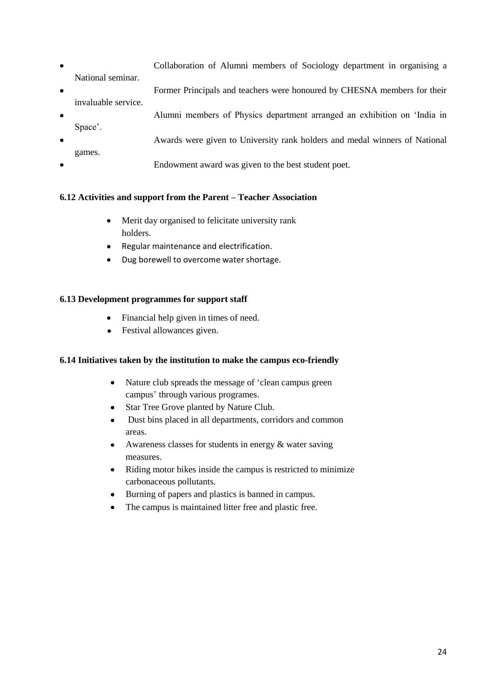- Collaboration of Alumni members of Sociology department in organising a  $\bullet$ National seminar.
- Former Principals and teachers were honoured by CHESNA members for their invaluable service.
- Alumni members of Physics department arranged an exhibition on "India in Space'. Awards were given to University rank holders and medal winners of National games.
- Endowment award was given to the best student poet.

#### **6.12 Activities and support from the Parent – Teacher Association**

- Merit day organised to felicitate university rank holders.
- Regular maintenance and electrification.
- Dug borewell to overcome water shortage.

#### **6.13 Development programmes for support staff**

- Financial help given in times of need.
- Festival allowances given.  $\bullet$

#### **6.14 Initiatives taken by the institution to make the campus eco-friendly**

- Nature club spreads the message of "clean campus green  $\bullet$ campus" through various programes.
- Star Tree Grove planted by Nature Club.
- Dust bins placed in all departments, corridors and common  $\bullet$ areas.
- Awareness classes for students in energy & water saving measures.
- Riding motor bikes inside the campus is restricted to minimize carbonaceous pollutants.
- Burning of papers and plastics is banned in campus.
- The campus is maintained litter free and plastic free.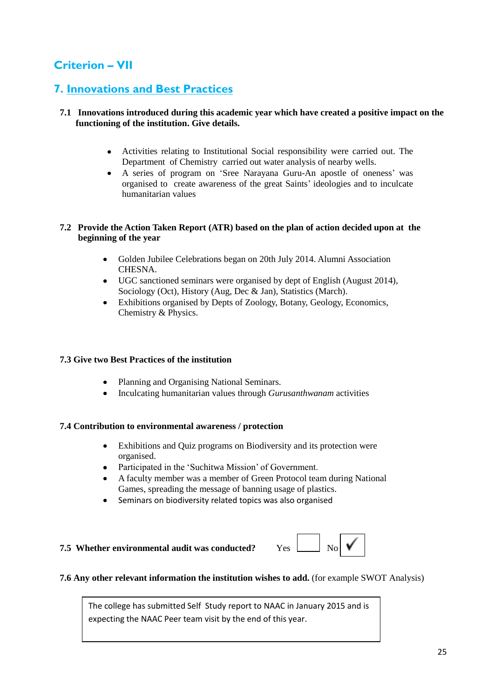### **Criterion – VII**

### **7. Innovations and Best Practices**

#### **7.1 Innovations introduced during this academic year which have created a positive impact on the functioning of the institution. Give details.**

- Activities relating to Institutional Social responsibility were carried out. The Department of Chemistry carried out water analysis of nearby wells.
- A series of program on "Sree Narayana Guru-An apostle of oneness" was organised to create awareness of the great Saints" ideologies and to inculcate humanitarian values

#### **7.2 Provide the Action Taken Report (ATR) based on the plan of action decided upon at the beginning of the year**

- Golden Jubilee Celebrations began on 20th July 2014. Alumni Association  $\bullet$ CHESNA.
- UGC sanctioned seminars were organised by dept of English (August 2014), Sociology (Oct), History (Aug, Dec & Jan), Statistics (March).
- Exhibitions organised by Depts of Zoology, Botany, Geology, Economics, Chemistry & Physics.

#### **7.3 Give two Best Practices of the institution**

- Planning and Organising National Seminars.
- Inculcating humanitarian values through *Gurusanthwanam* activities

#### **7.4 Contribution to environmental awareness / protection**

- Exhibitions and Quiz programs on Biodiversity and its protection were organised.
- Participated in the 'Suchitwa Mission' of Government.
- A faculty member was a member of Green Protocol team during National Games, spreading the message of banning usage of plastics.
- Seminars on biodiversity related topics was also organised

# **7.5** Whether environmental audit was conducted? Yes  $\begin{bmatrix} 1 & 1 \\ 0 & 1 \end{bmatrix}$   $\mathbf{V}$



#### **7.6 Any other relevant information the institution wishes to add.** (for example SWOT Analysis)

The college has submitted Self Study report to NAAC in January 2015 and is expecting the NAAC Peer team visit by the end of this year.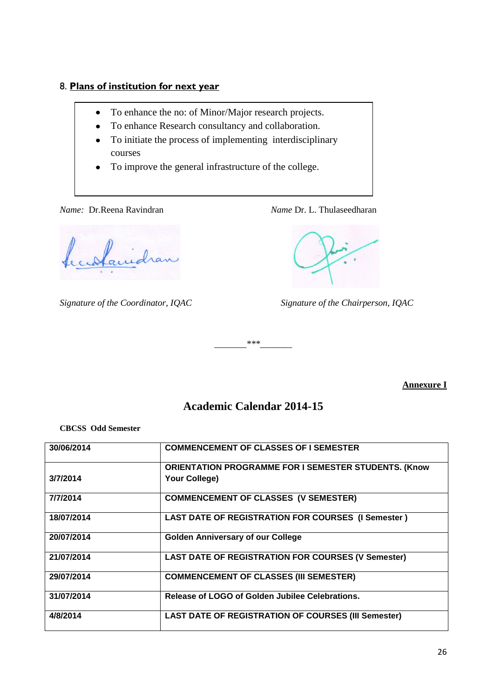### 8. **Plans of institution for next year**

- To enhance the no: of Minor/Major research projects.  $\bullet$
- To enhance Research consultancy and collaboration.  $\bullet$
- To initiate the process of implementing interdisciplinary courses
- To improve the general infrastructure of the college.

*Name:* Dr.Reena Ravindran *Name Dr. L. Thulaseedharan* 

Carlanidran

*Signature of the Coordinator, IQAC Signature of the Chairperson, IQAC*

*\_\_\_\_\_\_\_\*\*\*\_\_\_\_\_\_\_*

#### **Annexure I**

### **Academic Calendar 2014-15**

#### **CBCSS Odd Semester**

| 30/06/2014 | <b>COMMENCEMENT OF CLASSES OF I SEMESTER</b>                                 |
|------------|------------------------------------------------------------------------------|
| 3/7/2014   | <b>ORIENTATION PROGRAMME FOR I SEMESTER STUDENTS. (Know</b><br>Your College) |
| 7/7/2014   | <b>COMMENCEMENT OF CLASSES (V SEMESTER)</b>                                  |
| 18/07/2014 | <b>LAST DATE OF REGISTRATION FOR COURSES (I Semester)</b>                    |
| 20/07/2014 | <b>Golden Anniversary of our College</b>                                     |
| 21/07/2014 | <b>LAST DATE OF REGISTRATION FOR COURSES (V Semester)</b>                    |
| 29/07/2014 | <b>COMMENCEMENT OF CLASSES (III SEMESTER)</b>                                |
| 31/07/2014 | Release of LOGO of Golden Jubilee Celebrations.                              |
| 4/8/2014   | <b>LAST DATE OF REGISTRATION OF COURSES (III Semester)</b>                   |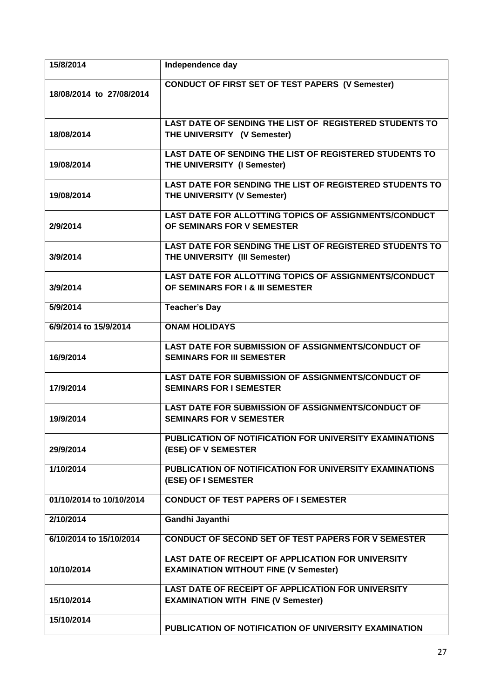| 15/8/2014                | Independence day                                                                                       |
|--------------------------|--------------------------------------------------------------------------------------------------------|
| 18/08/2014 to 27/08/2014 | <b>CONDUCT OF FIRST SET OF TEST PAPERS (V Semester)</b>                                                |
| 18/08/2014               | <b>LAST DATE OF SENDING THE LIST OF REGISTERED STUDENTS TO</b><br>THE UNIVERSITY (V Semester)          |
| 19/08/2014               | LAST DATE OF SENDING THE LIST OF REGISTERED STUDENTS TO<br>THE UNIVERSITY (I Semester)                 |
| 19/08/2014               | <b>LAST DATE FOR SENDING THE LIST OF REGISTERED STUDENTS TO</b><br>THE UNIVERSITY (V Semester)         |
| 2/9/2014                 | LAST DATE FOR ALLOTTING TOPICS OF ASSIGNMENTS/CONDUCT<br>OF SEMINARS FOR V SEMESTER                    |
| 3/9/2014                 | <b>LAST DATE FOR SENDING THE LIST OF REGISTERED STUDENTS TO</b><br>THE UNIVERSITY (III Semester)       |
| 3/9/2014                 | <b>LAST DATE FOR ALLOTTING TOPICS OF ASSIGNMENTS/CONDUCT</b><br>OF SEMINARS FOR I & III SEMESTER       |
| 5/9/2014                 | <b>Teacher's Day</b>                                                                                   |
| 6/9/2014 to 15/9/2014    | <b>ONAM HOLIDAYS</b>                                                                                   |
| 16/9/2014                | <b>LAST DATE FOR SUBMISSION OF ASSIGNMENTS/CONDUCT OF</b><br><b>SEMINARS FOR III SEMESTER</b>          |
| 17/9/2014                | <b>LAST DATE FOR SUBMISSION OF ASSIGNMENTS/CONDUCT OF</b><br><b>SEMINARS FOR I SEMESTER</b>            |
| 19/9/2014                | LAST DATE FOR SUBMISSION OF ASSIGNMENTS/CONDUCT OF<br><b>SEMINARS FOR V SEMESTER</b>                   |
| 29/9/2014                | PUBLICATION OF NOTIFICATION FOR UNIVERSITY EXAMINATIONS<br>(ESE) OF V SEMESTER                         |
| 1/10/2014                | PUBLICATION OF NOTIFICATION FOR UNIVERSITY EXAMINATIONS<br>(ESE) OF I SEMESTER                         |
| 01/10/2014 to 10/10/2014 | <b>CONDUCT OF TEST PAPERS OF I SEMESTER</b>                                                            |
| 2/10/2014                | Gandhi Jayanthi                                                                                        |
| 6/10/2014 to 15/10/2014  | <b>CONDUCT OF SECOND SET OF TEST PAPERS FOR V SEMESTER</b>                                             |
| 10/10/2014               | LAST DATE OF RECEIPT OF APPLICATION FOR UNIVERSITY<br><b>EXAMINATION WITHOUT FINE (V Semester)</b>     |
| 15/10/2014               | <b>LAST DATE OF RECEIPT OF APPLICATION FOR UNIVERSITY</b><br><b>EXAMINATION WITH FINE (V Semester)</b> |
| 15/10/2014               | PUBLICATION OF NOTIFICATION OF UNIVERSITY EXAMINATION                                                  |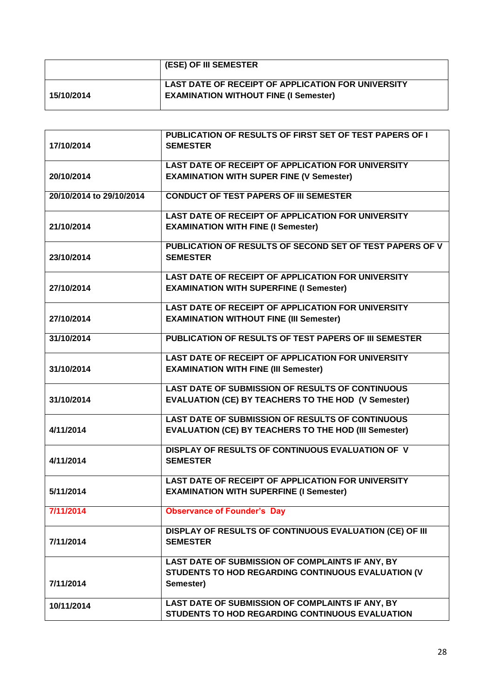|            | <b>(ESE) OF III SEMESTER</b>                       |
|------------|----------------------------------------------------|
|            | LAST DATE OF RECEIPT OF APPLICATION FOR UNIVERSITY |
| 15/10/2014 | <b>EXAMINATION WITHOUT FINE (I Semester)</b>       |
|            |                                                    |

| 17/10/2014               | PUBLICATION OF RESULTS OF FIRST SET OF TEST PAPERS OF I<br><b>SEMESTER</b>                                  |
|--------------------------|-------------------------------------------------------------------------------------------------------------|
|                          | <b>LAST DATE OF RECEIPT OF APPLICATION FOR UNIVERSITY</b>                                                   |
| 20/10/2014               | <b>EXAMINATION WITH SUPER FINE (V Semester)</b>                                                             |
| 20/10/2014 to 29/10/2014 | <b>CONDUCT OF TEST PAPERS OF III SEMESTER</b>                                                               |
| 21/10/2014               | <b>LAST DATE OF RECEIPT OF APPLICATION FOR UNIVERSITY</b><br><b>EXAMINATION WITH FINE (I Semester)</b>      |
| 23/10/2014               | PUBLICATION OF RESULTS OF SECOND SET OF TEST PAPERS OF V<br><b>SEMESTER</b>                                 |
| 27/10/2014               | <b>LAST DATE OF RECEIPT OF APPLICATION FOR UNIVERSITY</b><br><b>EXAMINATION WITH SUPERFINE (I Semester)</b> |
| 27/10/2014               | <b>LAST DATE OF RECEIPT OF APPLICATION FOR UNIVERSITY</b><br><b>EXAMINATION WITHOUT FINE (III Semester)</b> |
| 31/10/2014               | PUBLICATION OF RESULTS OF TEST PAPERS OF III SEMESTER                                                       |
| 31/10/2014               | <b>LAST DATE OF RECEIPT OF APPLICATION FOR UNIVERSITY</b><br><b>EXAMINATION WITH FINE (III Semester)</b>    |
|                          | <b>LAST DATE OF SUBMISSION OF RESULTS OF CONTINUOUS</b>                                                     |
| 31/10/2014               | <b>EVALUATION (CE) BY TEACHERS TO THE HOD (V Semester)</b>                                                  |
|                          | <b>LAST DATE OF SUBMISSION OF RESULTS OF CONTINUOUS</b>                                                     |
| 4/11/2014                | <b>EVALUATION (CE) BY TEACHERS TO THE HOD (III Semester)</b>                                                |
| 4/11/2014                | DISPLAY OF RESULTS OF CONTINUOUS EVALUATION OF V<br><b>SEMESTER</b>                                         |
| 5/11/2014                | <b>LAST DATE OF RECEIPT OF APPLICATION FOR UNIVERSITY</b><br><b>EXAMINATION WITH SUPERFINE (I Semester)</b> |
| 7/11/2014                | <b>Observance of Founder's Day</b>                                                                          |
| 7/11/2014                | DISPLAY OF RESULTS OF CONTINUOUS EVALUATION (CE) OF III<br><b>SEMESTER</b>                                  |
|                          | LAST DATE OF SUBMISSION OF COMPLAINTS IF ANY, BY                                                            |
| 7/11/2014                | STUDENTS TO HOD REGARDING CONTINUOUS EVALUATION (V<br>Semester)                                             |
|                          |                                                                                                             |
| 10/11/2014               | LAST DATE OF SUBMISSION OF COMPLAINTS IF ANY, BY<br>STUDENTS TO HOD REGARDING CONTINUOUS EVALUATION         |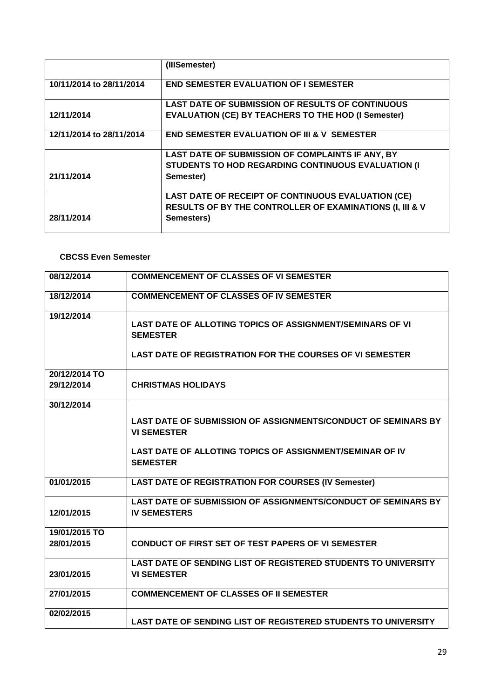|                          | (IIISemester)                                                       |
|--------------------------|---------------------------------------------------------------------|
| 10/11/2014 to 28/11/2014 | <b>END SEMESTER EVALUATION OF I SEMESTER</b>                        |
|                          | <b>LAST DATE OF SUBMISSION OF RESULTS OF CONTINUOUS</b>             |
| 12/11/2014               | <b>EVALUATION (CE) BY TEACHERS TO THE HOD (I Semester)</b>          |
| 12/11/2014 to 28/11/2014 | <b>END SEMESTER EVALUATION OF III &amp; V SEMESTER</b>              |
|                          | LAST DATE OF SUBMISSION OF COMPLAINTS IF ANY, BY                    |
|                          | <b>STUDENTS TO HOD REGARDING CONTINUOUS EVALUATION (I)</b>          |
| 21/11/2014               | Semester)                                                           |
|                          | <b>LAST DATE OF RECEIPT OF CONTINUOUS EVALUATION (CE)</b>           |
|                          | <b>RESULTS OF BY THE CONTROLLER OF EXAMINATIONS (I, III &amp; V</b> |
| 28/11/2014               | Semesters)                                                          |

#### **CBCSS Even Semester**

| 08/12/2014    | <b>COMMENCEMENT OF CLASSES OF VI SEMESTER</b>                                              |
|---------------|--------------------------------------------------------------------------------------------|
| 18/12/2014    | <b>COMMENCEMENT OF CLASSES OF IV SEMESTER</b>                                              |
| 19/12/2014    | <b>LAST DATE OF ALLOTING TOPICS OF ASSIGNMENT/SEMINARS OF VI</b><br><b>SEMESTER</b>        |
|               | <b>LAST DATE OF REGISTRATION FOR THE COURSES OF VI SEMESTER</b>                            |
| 20/12/2014 TO |                                                                                            |
| 29/12/2014    | <b>CHRISTMAS HOLIDAYS</b>                                                                  |
| 30/12/2014    |                                                                                            |
|               | <b>LAST DATE OF SUBMISSION OF ASSIGNMENTS/CONDUCT OF SEMINARS BY</b><br><b>VI SEMESTER</b> |
|               | LAST DATE OF ALLOTING TOPICS OF ASSIGNMENT/SEMINAR OF IV<br><b>SEMESTER</b>                |
| 01/01/2015    | <b>LAST DATE OF REGISTRATION FOR COURSES (IV Semester)</b>                                 |
| 12/01/2015    | LAST DATE OF SUBMISSION OF ASSIGNMENTS/CONDUCT OF SEMINARS BY<br><b>IV SEMESTERS</b>       |
| 19/01/2015 TO |                                                                                            |
| 28/01/2015    | <b>CONDUCT OF FIRST SET OF TEST PAPERS OF VI SEMESTER</b>                                  |
|               | LAST DATE OF SENDING LIST OF REGISTERED STUDENTS TO UNIVERSITY                             |
| 23/01/2015    | <b>VI SEMESTER</b>                                                                         |
| 27/01/2015    | <b>COMMENCEMENT OF CLASSES OF II SEMESTER</b>                                              |
| 02/02/2015    |                                                                                            |
|               | <b>LAST DATE OF SENDING LIST OF REGISTERED STUDENTS TO UNIVERSITY</b>                      |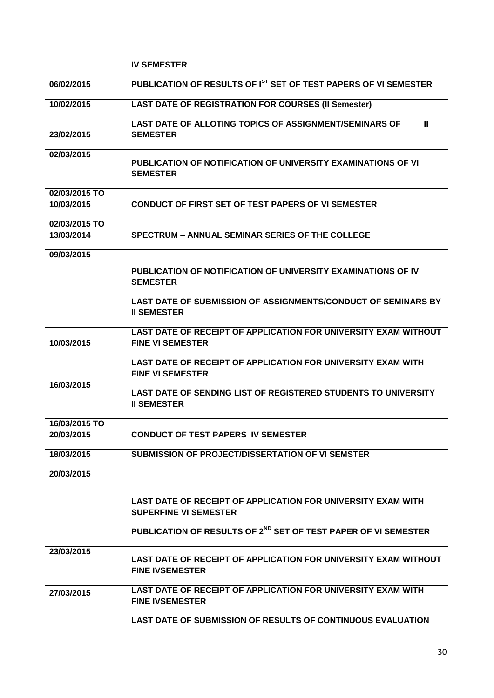|                             | <b>IV SEMESTER</b>                                                                                                                                                                     |
|-----------------------------|----------------------------------------------------------------------------------------------------------------------------------------------------------------------------------------|
| 06/02/2015                  | PUBLICATION OF RESULTS OF I <sup>ST</sup> SET OF TEST PAPERS OF VI SEMESTER                                                                                                            |
| 10/02/2015                  | <b>LAST DATE OF REGISTRATION FOR COURSES (II Semester)</b>                                                                                                                             |
| 23/02/2015                  | LAST DATE OF ALLOTING TOPICS OF ASSIGNMENT/SEMINARS OF<br>Ш<br><b>SEMESTER</b>                                                                                                         |
| 02/03/2015                  | PUBLICATION OF NOTIFICATION OF UNIVERSITY EXAMINATIONS OF VI<br><b>SEMESTER</b>                                                                                                        |
| 02/03/2015 TO<br>10/03/2015 | <b>CONDUCT OF FIRST SET OF TEST PAPERS OF VI SEMESTER</b>                                                                                                                              |
| 02/03/2015 TO<br>13/03/2014 | <b>SPECTRUM – ANNUAL SEMINAR SERIES OF THE COLLEGE</b>                                                                                                                                 |
| 09/03/2015                  | PUBLICATION OF NOTIFICATION OF UNIVERSITY EXAMINATIONS OF IV<br><b>SEMESTER</b>                                                                                                        |
|                             | <b>LAST DATE OF SUBMISSION OF ASSIGNMENTS/CONDUCT OF SEMINARS BY</b><br><b>II SEMESTER</b>                                                                                             |
| 10/03/2015                  | LAST DATE OF RECEIPT OF APPLICATION FOR UNIVERSITY EXAM WITHOUT<br><b>FINE VI SEMESTER</b>                                                                                             |
| 16/03/2015                  | LAST DATE OF RECEIPT OF APPLICATION FOR UNIVERSITY EXAM WITH<br><b>FINE VI SEMESTER</b><br><b>LAST DATE OF SENDING LIST OF REGISTERED STUDENTS TO UNIVERSITY</b><br><b>II SEMESTER</b> |
| 16/03/2015 TO<br>20/03/2015 | <b>CONDUCT OF TEST PAPERS IV SEMESTER</b>                                                                                                                                              |
| 18/03/2015                  | <b>SUBMISSION OF PROJECT/DISSERTATION OF VI SEMSTER</b>                                                                                                                                |
| 20/03/2015                  |                                                                                                                                                                                        |
|                             | LAST DATE OF RECEIPT OF APPLICATION FOR UNIVERSITY EXAM WITH<br><b>SUPERFINE VI SEMESTER</b>                                                                                           |
|                             | PUBLICATION OF RESULTS OF 2 <sup>ND</sup> SET OF TEST PAPER OF VI SEMESTER                                                                                                             |
| 23/03/2015                  | LAST DATE OF RECEIPT OF APPLICATION FOR UNIVERSITY EXAM WITHOUT<br><b>FINE IVSEMESTER</b>                                                                                              |
| 27/03/2015                  | LAST DATE OF RECEIPT OF APPLICATION FOR UNIVERSITY EXAM WITH<br><b>FINE IVSEMESTER</b>                                                                                                 |
|                             | <b>LAST DATE OF SUBMISSION OF RESULTS OF CONTINUOUS EVALUATION</b>                                                                                                                     |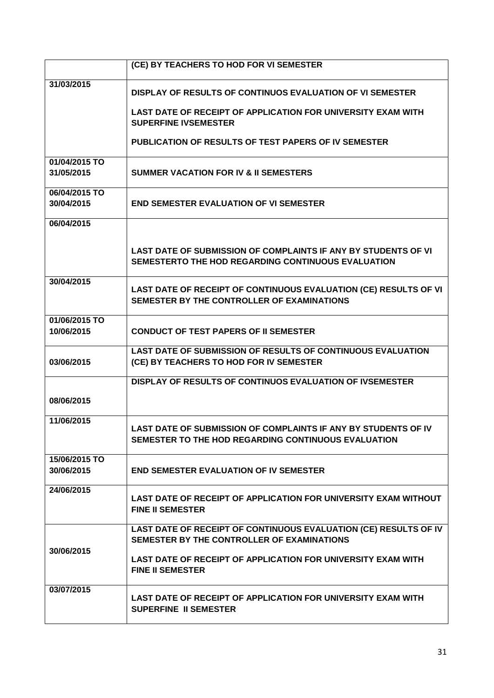|               | (CE) BY TEACHERS TO HOD FOR VI SEMESTER                                                                               |
|---------------|-----------------------------------------------------------------------------------------------------------------------|
| 31/03/2015    | DISPLAY OF RESULTS OF CONTINUOS EVALUATION OF VI SEMESTER                                                             |
|               | LAST DATE OF RECEIPT OF APPLICATION FOR UNIVERSITY EXAM WITH<br><b>SUPERFINE IVSEMESTER</b>                           |
|               | PUBLICATION OF RESULTS OF TEST PAPERS OF IV SEMESTER                                                                  |
| 01/04/2015 TO |                                                                                                                       |
| 31/05/2015    | <b>SUMMER VACATION FOR IV &amp; II SEMESTERS</b>                                                                      |
| 06/04/2015 TO |                                                                                                                       |
| 30/04/2015    | <b>END SEMESTER EVALUATION OF VI SEMESTER</b>                                                                         |
| 06/04/2015    |                                                                                                                       |
|               | LAST DATE OF SUBMISSION OF COMPLAINTS IF ANY BY STUDENTS OF VI<br>SEMESTERTO THE HOD REGARDING CONTINUOUS EVALUATION  |
| 30/04/2015    | LAST DATE OF RECEIPT OF CONTINUOUS EVALUATION (CE) RESULTS OF VI<br>SEMESTER BY THE CONTROLLER OF EXAMINATIONS        |
| 01/06/2015 TO |                                                                                                                       |
| 10/06/2015    | <b>CONDUCT OF TEST PAPERS OF II SEMESTER</b>                                                                          |
| 03/06/2015    | <b>LAST DATE OF SUBMISSION OF RESULTS OF CONTINUOUS EVALUATION</b><br>(CE) BY TEACHERS TO HOD FOR IV SEMESTER         |
|               | <b>DISPLAY OF RESULTS OF CONTINUOS EVALUATION OF IVSEMESTER</b>                                                       |
| 08/06/2015    |                                                                                                                       |
| 11/06/2015    | LAST DATE OF SUBMISSION OF COMPLAINTS IF ANY BY STUDENTS OF IV<br>SEMESTER TO THE HOD REGARDING CONTINUOUS EVALUATION |
| 15/06/2015 TO |                                                                                                                       |
| 30/06/2015    | <b>END SEMESTER EVALUATION OF IV SEMESTER</b>                                                                         |
| 24/06/2015    | LAST DATE OF RECEIPT OF APPLICATION FOR UNIVERSITY EXAM WITHOUT<br><b>FINE II SEMESTER</b>                            |
|               | LAST DATE OF RECEIPT OF CONTINUOUS EVALUATION (CE) RESULTS OF IV<br>SEMESTER BY THE CONTROLLER OF EXAMINATIONS        |
| 30/06/2015    | LAST DATE OF RECEIPT OF APPLICATION FOR UNIVERSITY EXAM WITH<br><b>FINE II SEMESTER</b>                               |
| 03/07/2015    | LAST DATE OF RECEIPT OF APPLICATION FOR UNIVERSITY EXAM WITH<br><b>SUPERFINE II SEMESTER</b>                          |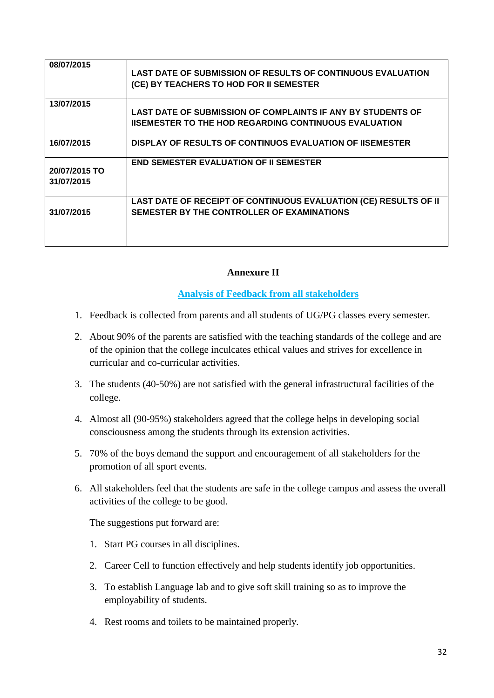| 08/07/2015                  | <b>LAST DATE OF SUBMISSION OF RESULTS OF CONTINUOUS EVALUATION</b><br>(CE) BY TEACHERS TO HOD FOR II SEMESTER               |
|-----------------------------|-----------------------------------------------------------------------------------------------------------------------------|
| 13/07/2015                  | LAST DATE OF SUBMISSION OF COMPLAINTS IF ANY BY STUDENTS OF<br><b>IISEMESTER TO THE HOD REGARDING CONTINUOUS EVALUATION</b> |
| 16/07/2015                  | DISPLAY OF RESULTS OF CONTINUOS EVALUATION OF IISEMESTER                                                                    |
| 20/07/2015 TO<br>31/07/2015 | <b>END SEMESTER EVALUATION OF II SEMESTER</b>                                                                               |
| 31/07/2015                  | LAST DATE OF RECEIPT OF CONTINUOUS EVALUATION (CE) RESULTS OF II<br>SEMESTER BY THE CONTROLLER OF EXAMINATIONS              |

#### **Annexure II**

**Analysis of Feedback from all stakeholders**

- 1. Feedback is collected from parents and all students of UG/PG classes every semester.
- 2. About 90% of the parents are satisfied with the teaching standards of the college and are of the opinion that the college inculcates ethical values and strives for excellence in curricular and co-curricular activities.
- 3. The students (40-50%) are not satisfied with the general infrastructural facilities of the college.
- 4. Almost all (90-95%) stakeholders agreed that the college helps in developing social consciousness among the students through its extension activities.
- 5. 70% of the boys demand the support and encouragement of all stakeholders for the promotion of all sport events.
- 6. All stakeholders feel that the students are safe in the college campus and assess the overall activities of the college to be good.

The suggestions put forward are:

- 1. Start PG courses in all disciplines.
- 2. Career Cell to function effectively and help students identify job opportunities.
- 3. To establish Language lab and to give soft skill training so as to improve the employability of students.
- 4. Rest rooms and toilets to be maintained properly.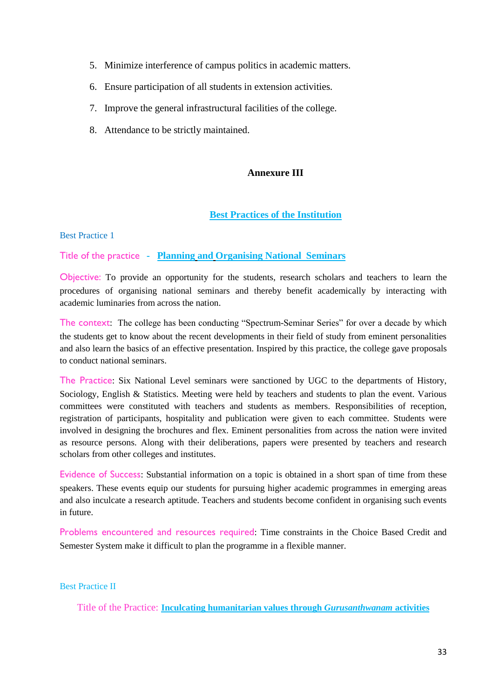- 5. Minimize interference of campus politics in academic matters.
- 6. Ensure participation of all students in extension activities.
- 7. Improve the general infrastructural facilities of the college.
- 8. Attendance to be strictly maintained.

#### **Annexure III**

#### **Best Practices of the Institution**

Best Practice 1

#### Title of the practice **- Planning and Organising National Seminars**

Objective: To provide an opportunity for the students, research scholars and teachers to learn the procedures of organising national seminars and thereby benefit academically by interacting with academic luminaries from across the nation.

The context: The college has been conducting "Spectrum-Seminar Series" for over a decade by which the students get to know about the recent developments in their field of study from eminent personalities and also learn the basics of an effective presentation. Inspired by this practice, the college gave proposals to conduct national seminars.

The Practice: Six National Level seminars were sanctioned by UGC to the departments of History, Sociology, English & Statistics. Meeting were held by teachers and students to plan the event. Various committees were constituted with teachers and students as members. Responsibilities of reception, registration of participants, hospitality and publication were given to each committee. Students were involved in designing the brochures and flex. Eminent personalities from across the nation were invited as resource persons. Along with their deliberations, papers were presented by teachers and research scholars from other colleges and institutes.

Evidence of Success: Substantial information on a topic is obtained in a short span of time from these speakers. These events equip our students for pursuing higher academic programmes in emerging areas and also inculcate a research aptitude. Teachers and students become confident in organising such events in future.

Problems encountered and resources required: Time constraints in the Choice Based Credit and Semester System make it difficult to plan the programme in a flexible manner.

Best Practice II

Title of the Practice: **Inculcating humanitarian values through** *Gurusanthwanam* **activities**